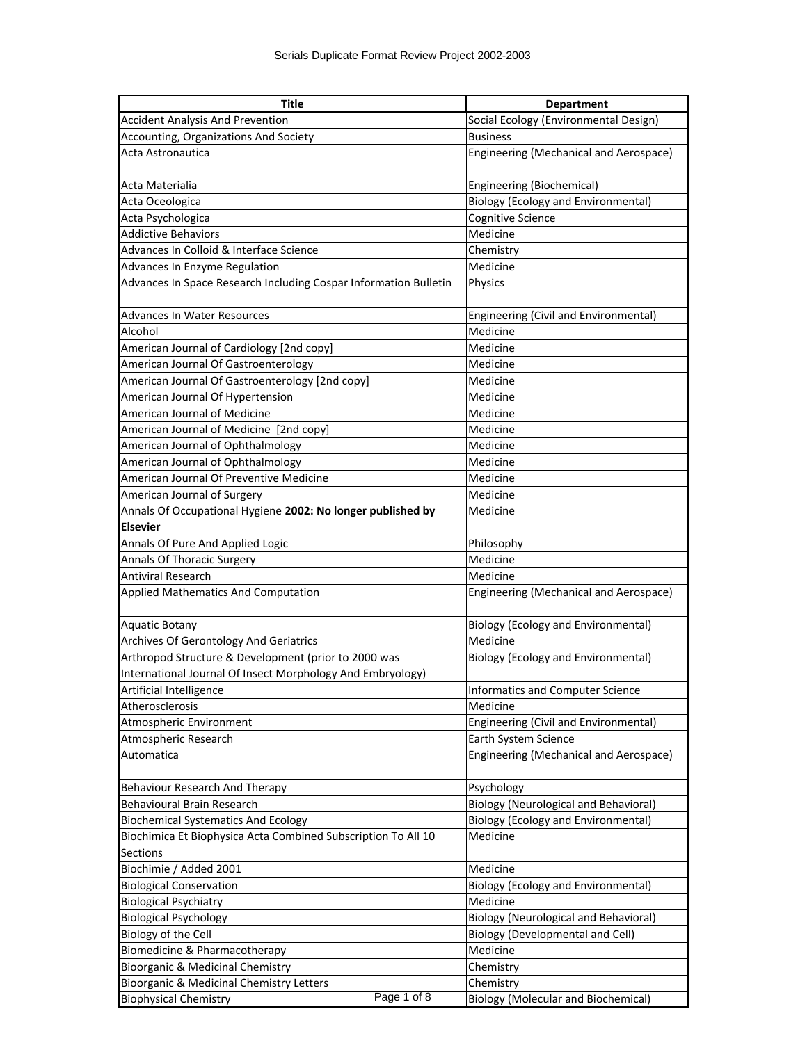| Title                                                                            | <b>Department</b>                            |
|----------------------------------------------------------------------------------|----------------------------------------------|
| <b>Accident Analysis And Prevention</b>                                          | Social Ecology (Environmental Design)        |
| Accounting, Organizations And Society                                            | <b>Business</b>                              |
| Acta Astronautica                                                                | Engineering (Mechanical and Aerospace)       |
| Acta Materialia                                                                  | Engineering (Biochemical)                    |
| Acta Oceologica                                                                  | <b>Biology (Ecology and Environmental)</b>   |
| Acta Psychologica                                                                | Cognitive Science                            |
| <b>Addictive Behaviors</b>                                                       | Medicine                                     |
| Advances In Colloid & Interface Science                                          | Chemistry                                    |
| Advances In Enzyme Regulation                                                    | Medicine                                     |
| Advances In Space Research Including Cospar Information Bulletin                 | Physics                                      |
| Advances In Water Resources                                                      | Engineering (Civil and Environmental)        |
| Alcohol                                                                          | Medicine                                     |
| American Journal of Cardiology [2nd copy]                                        | Medicine                                     |
| American Journal Of Gastroenterology                                             | Medicine                                     |
| American Journal Of Gastroenterology [2nd copy]                                  | Medicine                                     |
| American Journal Of Hypertension                                                 | Medicine                                     |
| American Journal of Medicine                                                     | Medicine                                     |
| American Journal of Medicine [2nd copy]                                          | Medicine                                     |
| American Journal of Ophthalmology                                                | Medicine                                     |
| American Journal of Ophthalmology                                                | Medicine                                     |
| American Journal Of Preventive Medicine                                          | Medicine                                     |
| American Journal of Surgery                                                      | Medicine                                     |
| Annals Of Occupational Hygiene 2002: No longer published by                      | Medicine                                     |
| <b>Elsevier</b>                                                                  |                                              |
| Annals Of Pure And Applied Logic                                                 | Philosophy                                   |
| Annals Of Thoracic Surgery                                                       | Medicine                                     |
| <b>Antiviral Research</b>                                                        | Medicine                                     |
| <b>Applied Mathematics And Computation</b>                                       | Engineering (Mechanical and Aerospace)       |
| <b>Aquatic Botany</b>                                                            | <b>Biology (Ecology and Environmental)</b>   |
| Archives Of Gerontology And Geriatrics                                           | Medicine                                     |
| Arthropod Structure & Development (prior to 2000 was                             | <b>Biology (Ecology and Environmental)</b>   |
| International Journal Of Insect Morphology And Embryology)                       |                                              |
| Artificial Intelligence                                                          | <b>Informatics and Computer Science</b>      |
| Atherosclerosis                                                                  | Medicine                                     |
| Atmospheric Environment                                                          | Engineering (Civil and Environmental)        |
| Atmospheric Research                                                             | Earth System Science                         |
| Automatica                                                                       | Engineering (Mechanical and Aerospace)       |
| Behaviour Research And Therapy                                                   | Psychology                                   |
| Behavioural Brain Research                                                       | <b>Biology (Neurological and Behavioral)</b> |
| <b>Biochemical Systematics And Ecology</b>                                       | <b>Biology (Ecology and Environmental)</b>   |
| Biochimica Et Biophysica Acta Combined Subscription To All 10<br><b>Sections</b> | Medicine                                     |
| Biochimie / Added 2001                                                           | Medicine                                     |
| <b>Biological Conservation</b>                                                   | <b>Biology (Ecology and Environmental)</b>   |
| <b>Biological Psychiatry</b>                                                     | Medicine                                     |
| <b>Biological Psychology</b>                                                     | <b>Biology (Neurological and Behavioral)</b> |
| Biology of the Cell                                                              | <b>Biology (Developmental and Cell)</b>      |
| Biomedicine & Pharmacotherapy                                                    | Medicine                                     |
| Bioorganic & Medicinal Chemistry                                                 | Chemistry                                    |
| Bioorganic & Medicinal Chemistry Letters                                         | Chemistry                                    |
| Page 1 of 8<br><b>Biophysical Chemistry</b>                                      | <b>Biology (Molecular and Biochemical)</b>   |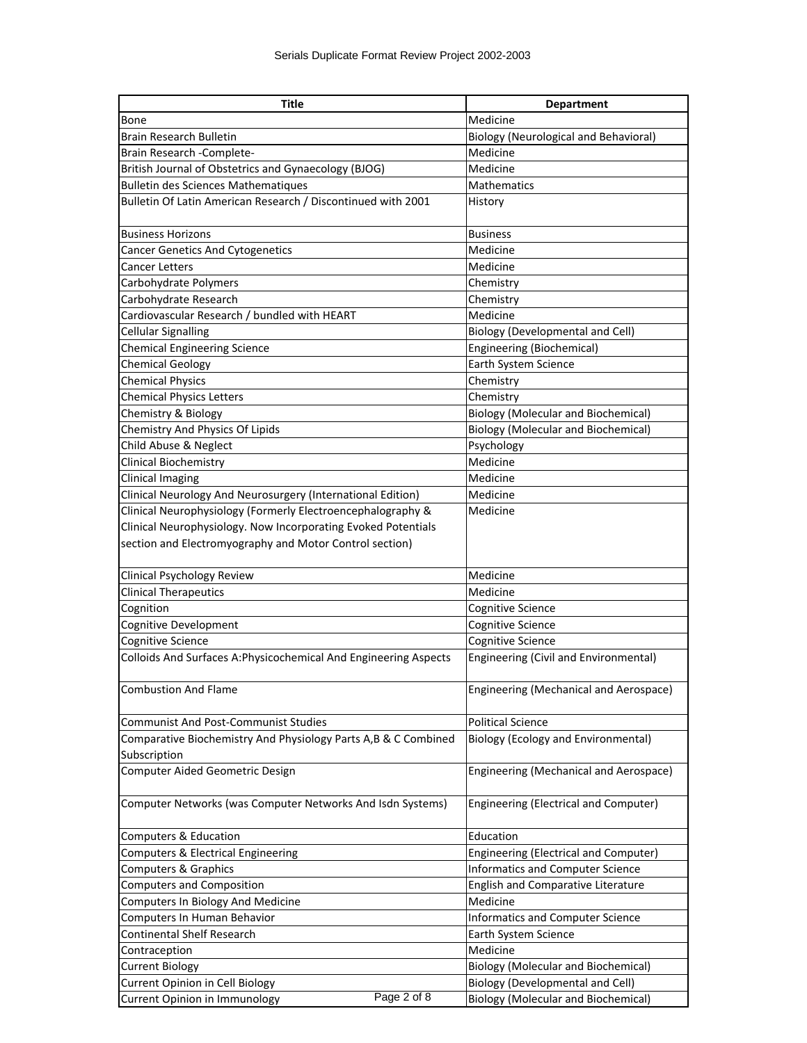| <b>Title</b>                                                     | <b>Department</b>                             |
|------------------------------------------------------------------|-----------------------------------------------|
| Bone                                                             | Medicine                                      |
| Brain Research Bulletin                                          | <b>Biology (Neurological and Behavioral)</b>  |
| Brain Research - Complete-                                       | Medicine                                      |
| British Journal of Obstetrics and Gynaecology (BJOG)             | Medicine                                      |
| <b>Bulletin des Sciences Mathematiques</b>                       | Mathematics                                   |
| Bulletin Of Latin American Research / Discontinued with 2001     | History                                       |
| <b>Business Horizons</b>                                         | <b>Business</b>                               |
| <b>Cancer Genetics And Cytogenetics</b>                          | Medicine                                      |
| <b>Cancer Letters</b>                                            | Medicine                                      |
| Carbohydrate Polymers                                            | Chemistry                                     |
| Carbohydrate Research                                            | Chemistry                                     |
| Cardiovascular Research / bundled with HEART                     | Medicine                                      |
| <b>Cellular Signalling</b>                                       | <b>Biology (Developmental and Cell)</b>       |
| <b>Chemical Engineering Science</b>                              | Engineering (Biochemical)                     |
| <b>Chemical Geology</b>                                          | Earth System Science                          |
| <b>Chemical Physics</b>                                          | Chemistry                                     |
| <b>Chemical Physics Letters</b>                                  | Chemistry                                     |
| Chemistry & Biology                                              | <b>Biology (Molecular and Biochemical)</b>    |
| Chemistry And Physics Of Lipids                                  | <b>Biology (Molecular and Biochemical)</b>    |
| Child Abuse & Neglect                                            | Psychology                                    |
| <b>Clinical Biochemistry</b>                                     | Medicine                                      |
| <b>Clinical Imaging</b>                                          | Medicine                                      |
| Clinical Neurology And Neurosurgery (International Edition)      | Medicine                                      |
| Clinical Neurophysiology (Formerly Electroencephalography &      | Medicine                                      |
| Clinical Neurophysiology. Now Incorporating Evoked Potentials    |                                               |
| section and Electromyography and Motor Control section)          |                                               |
| Clinical Psychology Review                                       | Medicine                                      |
| <b>Clinical Therapeutics</b>                                     | Medicine                                      |
| Cognition                                                        | Cognitive Science                             |
| Cognitive Development                                            | Cognitive Science                             |
| <b>Cognitive Science</b>                                         | Cognitive Science                             |
| Colloids And Surfaces A: Physicochemical And Engineering Aspects | Engineering (Civil and Environmental)         |
| <b>Combustion And Flame</b>                                      | <b>Engineering (Mechanical and Aerospace)</b> |
| <b>Communist And Post-Communist Studies</b>                      | <b>Political Science</b>                      |
| Comparative Biochemistry And Physiology Parts A,B & C Combined   | <b>Biology (Ecology and Environmental)</b>    |
| Subscription                                                     |                                               |
| Computer Aided Geometric Design                                  | Engineering (Mechanical and Aerospace)        |
| Computer Networks (was Computer Networks And Isdn Systems)       | Engineering (Electrical and Computer)         |
| Computers & Education                                            | Education                                     |
| Computers & Electrical Engineering                               | Engineering (Electrical and Computer)         |
| Computers & Graphics                                             | Informatics and Computer Science              |
| <b>Computers and Composition</b>                                 | English and Comparative Literature            |
| Computers In Biology And Medicine                                | Medicine                                      |
| Computers In Human Behavior                                      | <b>Informatics and Computer Science</b>       |
| <b>Continental Shelf Research</b>                                | Earth System Science                          |
| Contraception                                                    | Medicine                                      |
| <b>Current Biology</b>                                           | <b>Biology (Molecular and Biochemical)</b>    |
| Current Opinion in Cell Biology                                  | <b>Biology (Developmental and Cell)</b>       |
| Page 2 of 8<br>Current Opinion in Immunology                     | <b>Biology (Molecular and Biochemical)</b>    |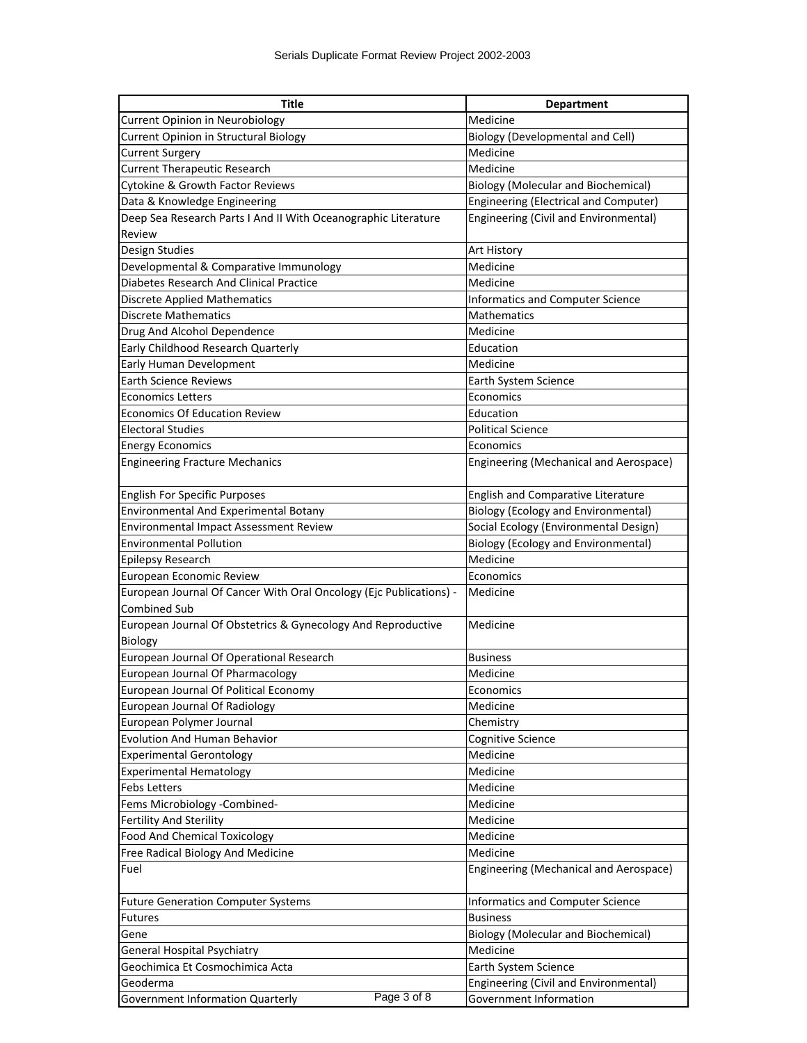| <b>Title</b>                                                       | <b>Department</b>                          |
|--------------------------------------------------------------------|--------------------------------------------|
| <b>Current Opinion in Neurobiology</b>                             | Medicine                                   |
| Current Opinion in Structural Biology                              | <b>Biology (Developmental and Cell)</b>    |
| <b>Current Surgery</b>                                             | Medicine                                   |
| <b>Current Therapeutic Research</b>                                | Medicine                                   |
| Cytokine & Growth Factor Reviews                                   | <b>Biology (Molecular and Biochemical)</b> |
| Data & Knowledge Engineering                                       | Engineering (Electrical and Computer)      |
| Deep Sea Research Parts I And II With Oceanographic Literature     | Engineering (Civil and Environmental)      |
| Review                                                             |                                            |
| Design Studies                                                     | <b>Art History</b>                         |
| Developmental & Comparative Immunology                             | Medicine                                   |
| <b>Diabetes Research And Clinical Practice</b>                     | Medicine                                   |
| <b>Discrete Applied Mathematics</b>                                | Informatics and Computer Science           |
| <b>Discrete Mathematics</b>                                        | Mathematics                                |
| Drug And Alcohol Dependence                                        | Medicine                                   |
| Early Childhood Research Quarterly                                 | Education                                  |
| Early Human Development                                            | Medicine                                   |
| <b>Earth Science Reviews</b>                                       | Earth System Science                       |
| <b>Economics Letters</b>                                           | Economics                                  |
| <b>Economics Of Education Review</b>                               | Education                                  |
| <b>Electoral Studies</b>                                           | <b>Political Science</b>                   |
| <b>Energy Economics</b>                                            | Economics                                  |
| <b>Engineering Fracture Mechanics</b>                              | Engineering (Mechanical and Aerospace)     |
| <b>English For Specific Purposes</b>                               | English and Comparative Literature         |
| Environmental And Experimental Botany                              | <b>Biology (Ecology and Environmental)</b> |
| Environmental Impact Assessment Review                             | Social Ecology (Environmental Design)      |
| <b>Environmental Pollution</b>                                     | <b>Biology (Ecology and Environmental)</b> |
| Epilepsy Research                                                  | Medicine                                   |
| European Economic Review                                           | Economics                                  |
| European Journal Of Cancer With Oral Oncology (Ejc Publications) - | Medicine                                   |
| <b>Combined Sub</b>                                                |                                            |
| European Journal Of Obstetrics & Gynecology And Reproductive       | Medicine                                   |
| Biology                                                            |                                            |
| European Journal Of Operational Research                           | <b>Business</b>                            |
| European Journal Of Pharmacology                                   | Medicine                                   |
| European Journal Of Political Economy                              | Economics                                  |
| European Journal Of Radiology                                      | Medicine                                   |
| European Polymer Journal                                           | Chemistry                                  |
| <b>Evolution And Human Behavior</b>                                | Cognitive Science                          |
| <b>Experimental Gerontology</b>                                    | Medicine                                   |
| <b>Experimental Hematology</b>                                     | Medicine                                   |
| <b>Febs Letters</b>                                                | Medicine                                   |
| Fems Microbiology -Combined-                                       | Medicine                                   |
| Fertility And Sterility                                            | Medicine                                   |
| <b>Food And Chemical Toxicology</b>                                | Medicine                                   |
| Free Radical Biology And Medicine                                  | Medicine                                   |
| Fuel                                                               | Engineering (Mechanical and Aerospace)     |
| <b>Future Generation Computer Systems</b>                          | Informatics and Computer Science           |
| <b>Futures</b>                                                     | <b>Business</b>                            |
| Gene                                                               | <b>Biology (Molecular and Biochemical)</b> |
| General Hospital Psychiatry                                        | Medicine                                   |
| Geochimica Et Cosmochimica Acta                                    | Earth System Science                       |
| Geoderma                                                           | Engineering (Civil and Environmental)      |
| Page 3 of 8<br>Government Information Quarterly                    | Government Information                     |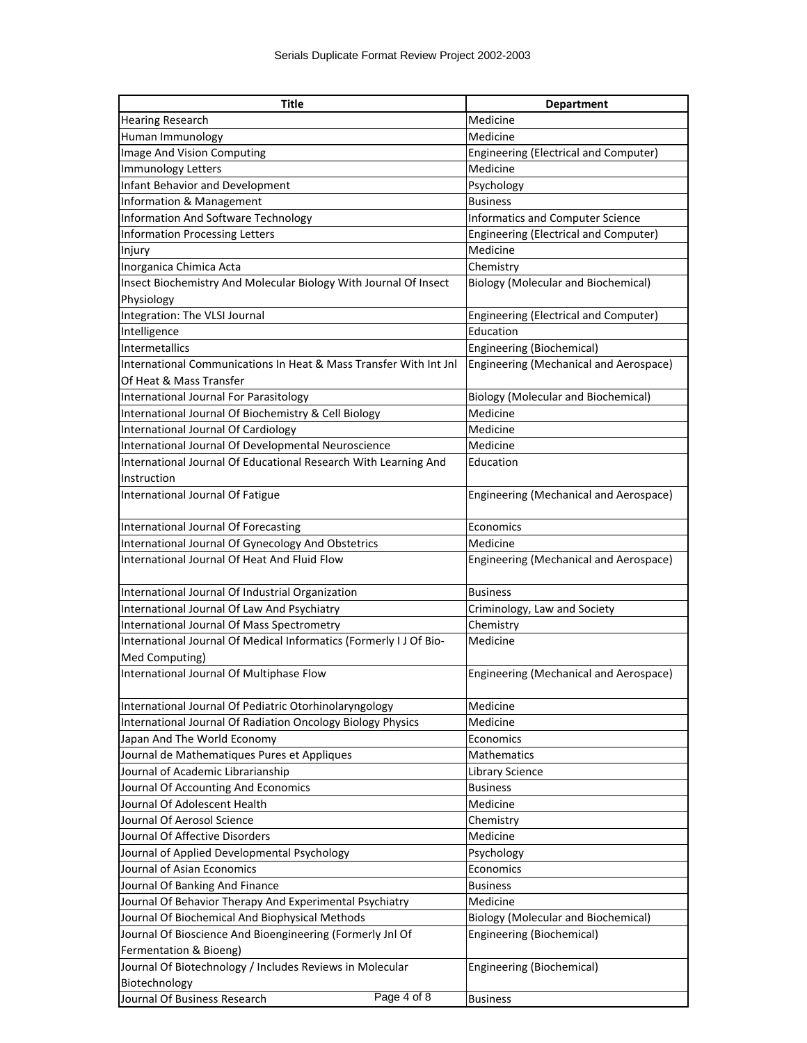| <b>Title</b>                                                       | <b>Department</b>                          |
|--------------------------------------------------------------------|--------------------------------------------|
| <b>Hearing Research</b>                                            | Medicine                                   |
| Human Immunology                                                   | Medicine                                   |
| Image And Vision Computing                                         | Engineering (Electrical and Computer)      |
| Immunology Letters                                                 | Medicine                                   |
| Infant Behavior and Development                                    | Psychology                                 |
| Information & Management                                           | <b>Business</b>                            |
| Information And Software Technology                                | <b>Informatics and Computer Science</b>    |
| Information Processing Letters                                     | Engineering (Electrical and Computer)      |
| Injury                                                             | Medicine                                   |
| Inorganica Chimica Acta                                            | Chemistry                                  |
| Insect Biochemistry And Molecular Biology With Journal Of Insect   | <b>Biology (Molecular and Biochemical)</b> |
| Physiology                                                         |                                            |
| Integration: The VLSI Journal                                      | Engineering (Electrical and Computer)      |
| Intelligence                                                       | Education                                  |
| <b>Intermetallics</b>                                              | Engineering (Biochemical)                  |
| International Communications In Heat & Mass Transfer With Int Jnl  | Engineering (Mechanical and Aerospace)     |
| Of Heat & Mass Transfer                                            |                                            |
| International Journal For Parasitology                             | <b>Biology (Molecular and Biochemical)</b> |
| International Journal Of Biochemistry & Cell Biology               | Medicine                                   |
| International Journal Of Cardiology                                | Medicine                                   |
| International Journal Of Developmental Neuroscience                | Medicine                                   |
| International Journal Of Educational Research With Learning And    | Education                                  |
| Instruction                                                        |                                            |
| International Journal Of Fatigue                                   | Engineering (Mechanical and Aerospace)     |
| International Journal Of Forecasting                               | Economics                                  |
| International Journal Of Gynecology And Obstetrics                 | Medicine                                   |
| International Journal Of Heat And Fluid Flow                       | Engineering (Mechanical and Aerospace)     |
| International Journal Of Industrial Organization                   | <b>Business</b>                            |
| International Journal Of Law And Psychiatry                        | Criminology, Law and Society               |
| International Journal Of Mass Spectrometry                         | Chemistry                                  |
| International Journal Of Medical Informatics (Formerly I J Of Bio- | Medicine                                   |
| Med Computing)                                                     |                                            |
| International Journal Of Multiphase Flow                           | Engineering (Mechanical and Aerospace)     |
| International Journal Of Pediatric Otorhinolaryngology             | Medicine                                   |
| International Journal Of Radiation Oncology Biology Physics        | Medicine                                   |
| Japan And The World Economy                                        | Economics                                  |
| Journal de Mathematiques Pures et Appliques                        | Mathematics                                |
| Journal of Academic Librarianship                                  | Library Science                            |
| Journal Of Accounting And Economics                                | <b>Business</b>                            |
| Journal Of Adolescent Health                                       | Medicine                                   |
| Journal Of Aerosol Science                                         | Chemistry                                  |
| Journal Of Affective Disorders                                     | Medicine                                   |
| Journal of Applied Developmental Psychology                        | Psychology                                 |
| Journal of Asian Economics                                         | Economics                                  |
| Journal Of Banking And Finance                                     | <b>Business</b>                            |
| Journal Of Behavior Therapy And Experimental Psychiatry            | Medicine                                   |
| Journal Of Biochemical And Biophysical Methods                     | <b>Biology (Molecular and Biochemical)</b> |
| Journal Of Bioscience And Bioengineering (Formerly Jnl Of          | Engineering (Biochemical)                  |
| Fermentation & Bioeng)                                             |                                            |
| Journal Of Biotechnology / Includes Reviews in Molecular           | Engineering (Biochemical)                  |
| Biotechnology                                                      |                                            |
| Page 4 of 8<br>Journal Of Business Research                        | <b>Business</b>                            |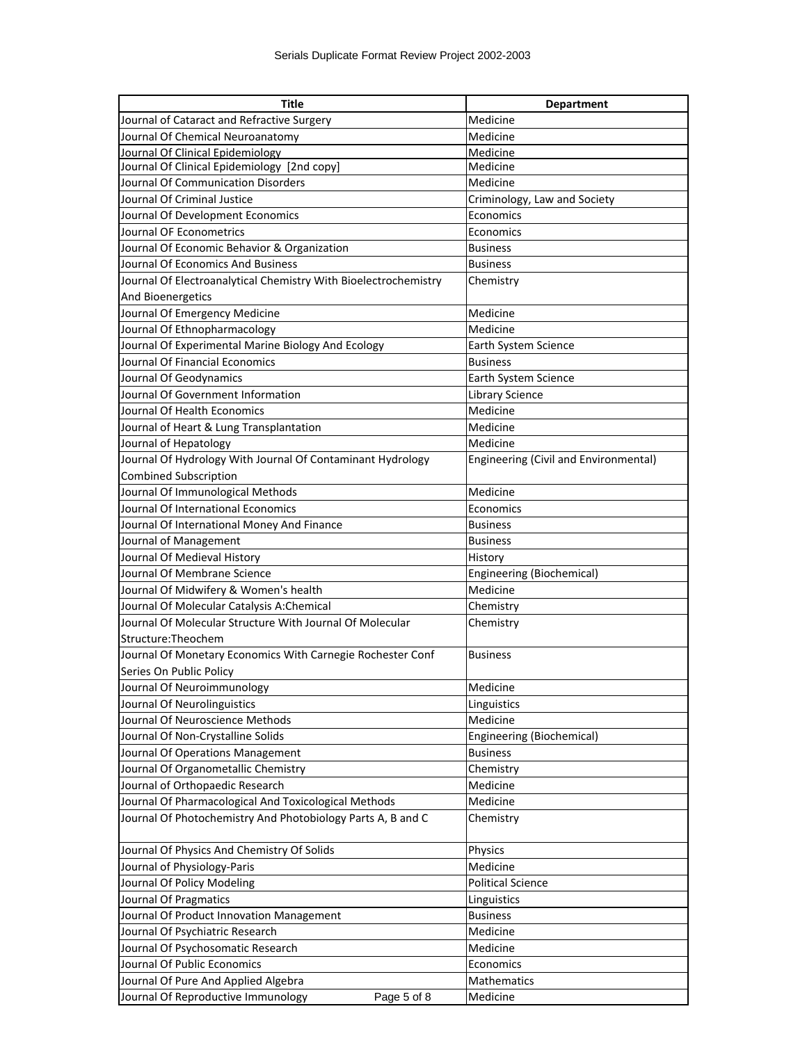| <b>Title</b>                                                    | <b>Department</b>                     |
|-----------------------------------------------------------------|---------------------------------------|
| Journal of Cataract and Refractive Surgery                      | Medicine                              |
| Journal Of Chemical Neuroanatomy                                | Medicine                              |
| Journal Of Clinical Epidemiology                                | Medicine                              |
| Journal Of Clinical Epidemiology [2nd copy]                     | Medicine                              |
| Journal Of Communication Disorders                              | Medicine                              |
| Journal Of Criminal Justice                                     | Criminology, Law and Society          |
| Journal Of Development Economics                                | Economics                             |
| Journal OF Econometrics                                         | Economics                             |
| Journal Of Economic Behavior & Organization                     | <b>Business</b>                       |
| Journal Of Economics And Business                               | <b>Business</b>                       |
| Journal Of Electroanalytical Chemistry With Bioelectrochemistry | Chemistry                             |
| And Bioenergetics                                               |                                       |
| Journal Of Emergency Medicine                                   | Medicine                              |
| Journal Of Ethnopharmacology                                    | Medicine                              |
| Journal Of Experimental Marine Biology And Ecology              | Earth System Science                  |
| Journal Of Financial Economics                                  | <b>Business</b>                       |
| Journal Of Geodynamics                                          | Earth System Science                  |
| Journal Of Government Information                               | <b>Library Science</b>                |
| Journal Of Health Economics                                     | Medicine                              |
| Journal of Heart & Lung Transplantation                         | Medicine                              |
| Journal of Hepatology                                           | Medicine                              |
| Journal Of Hydrology With Journal Of Contaminant Hydrology      | Engineering (Civil and Environmental) |
| <b>Combined Subscription</b>                                    |                                       |
| Journal Of Immunological Methods                                | Medicine                              |
| Journal Of International Economics                              | Economics                             |
| Journal Of International Money And Finance                      | <b>Business</b>                       |
| Journal of Management                                           | <b>Business</b>                       |
| Journal Of Medieval History                                     | History                               |
| Journal Of Membrane Science                                     | Engineering (Biochemical)             |
| Journal Of Midwifery & Women's health                           | Medicine                              |
| Journal Of Molecular Catalysis A:Chemical                       | Chemistry                             |
| Journal Of Molecular Structure With Journal Of Molecular        | Chemistry                             |
| Structure: Theochem                                             |                                       |
| Journal Of Monetary Economics With Carnegie Rochester Conf      | <b>Business</b>                       |
| Series On Public Policy                                         |                                       |
| Journal Of Neuroimmunology                                      | Medicine                              |
| Journal Of Neurolinguistics                                     | Linguistics                           |
| Journal Of Neuroscience Methods                                 | Medicine                              |
| Journal Of Non-Crystalline Solids                               | Engineering (Biochemical)             |
| Journal Of Operations Management                                | <b>Business</b>                       |
| Journal Of Organometallic Chemistry                             | Chemistry                             |
| Journal of Orthopaedic Research                                 | Medicine                              |
| Journal Of Pharmacological And Toxicological Methods            | Medicine                              |
| Journal Of Photochemistry And Photobiology Parts A, B and C     | Chemistry                             |
| Journal Of Physics And Chemistry Of Solids                      | Physics                               |
| Journal of Physiology-Paris                                     | Medicine                              |
| Journal Of Policy Modeling                                      | <b>Political Science</b>              |
| Journal Of Pragmatics                                           | Linguistics                           |
| Journal Of Product Innovation Management                        | <b>Business</b>                       |
| Journal Of Psychiatric Research                                 | Medicine                              |
| Journal Of Psychosomatic Research                               | Medicine                              |
| Journal Of Public Economics                                     | Economics                             |
| Journal Of Pure And Applied Algebra                             | Mathematics                           |
| Journal Of Reproductive Immunology<br>Page 5 of 8               | Medicine                              |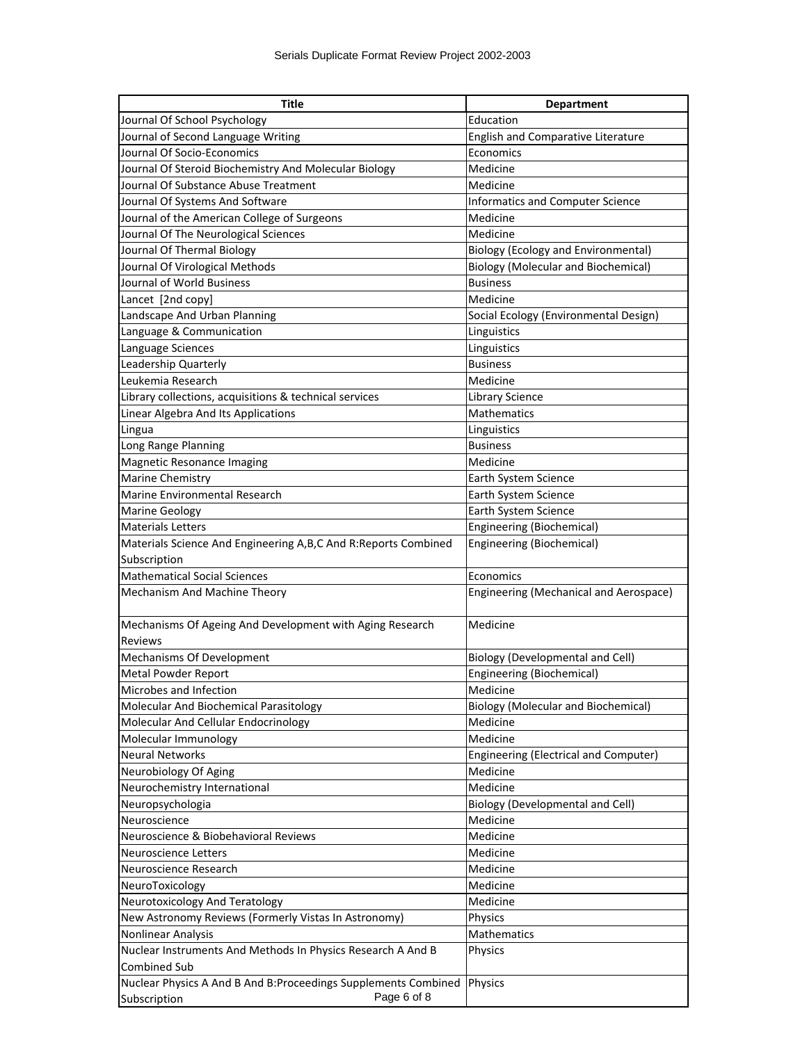| <b>Title</b>                                                      | <b>Department</b>                          |
|-------------------------------------------------------------------|--------------------------------------------|
| Journal Of School Psychology                                      | Education                                  |
| Journal of Second Language Writing                                | English and Comparative Literature         |
| Journal Of Socio-Economics                                        | Economics                                  |
| Journal Of Steroid Biochemistry And Molecular Biology             | Medicine                                   |
| Journal Of Substance Abuse Treatment                              | Medicine                                   |
| Journal Of Systems And Software                                   | Informatics and Computer Science           |
| Journal of the American College of Surgeons                       | Medicine                                   |
| Journal Of The Neurological Sciences                              | Medicine                                   |
| Journal Of Thermal Biology                                        | <b>Biology (Ecology and Environmental)</b> |
| Journal Of Virological Methods                                    | <b>Biology (Molecular and Biochemical)</b> |
| Journal of World Business                                         | <b>Business</b>                            |
| Lancet [2nd copy]                                                 | Medicine                                   |
| Landscape And Urban Planning                                      | Social Ecology (Environmental Design)      |
| Language & Communication                                          | Linguistics                                |
| Language Sciences                                                 | Linguistics                                |
| Leadership Quarterly                                              | <b>Business</b>                            |
| Leukemia Research                                                 | Medicine                                   |
| Library collections, acquisitions & technical services            | Library Science                            |
| Linear Algebra And Its Applications                               | <b>Mathematics</b>                         |
| Lingua                                                            | Linguistics                                |
| Long Range Planning                                               | <b>Business</b>                            |
| Magnetic Resonance Imaging                                        | Medicine                                   |
| <b>Marine Chemistry</b>                                           | Earth System Science                       |
| Marine Environmental Research                                     | Earth System Science                       |
| <b>Marine Geology</b>                                             | Earth System Science                       |
| <b>Materials Letters</b>                                          | Engineering (Biochemical)                  |
| Materials Science And Engineering A, B, C And R: Reports Combined | Engineering (Biochemical)                  |
| Subscription                                                      |                                            |
| <b>Mathematical Social Sciences</b>                               | Economics                                  |
| Mechanism And Machine Theory                                      | Engineering (Mechanical and Aerospace)     |
|                                                                   |                                            |
| Mechanisms Of Ageing And Development with Aging Research          | Medicine                                   |
| <b>Reviews</b>                                                    |                                            |
| Mechanisms Of Development                                         | <b>Biology (Developmental and Cell)</b>    |
| <b>Metal Powder Report</b>                                        | Engineering (Biochemical)                  |
| Microbes and Infection                                            | Medicine                                   |
| Molecular And Biochemical Parasitology                            | <b>Biology (Molecular and Biochemical)</b> |
| Molecular And Cellular Endocrinology                              | Medicine                                   |
| Molecular Immunology                                              | Medicine                                   |
| <b>Neural Networks</b>                                            | Engineering (Electrical and Computer)      |
| Neurobiology Of Aging                                             | Medicine                                   |
| Neurochemistry International                                      | Medicine                                   |
| Neuropsychologia                                                  | <b>Biology (Developmental and Cell)</b>    |
| Neuroscience                                                      | Medicine                                   |
| Neuroscience & Biobehavioral Reviews                              | Medicine                                   |
| Neuroscience Letters                                              | Medicine                                   |
| Neuroscience Research                                             | Medicine                                   |
| NeuroToxicology                                                   | Medicine                                   |
| Neurotoxicology And Teratology                                    | Medicine                                   |
| New Astronomy Reviews (Formerly Vistas In Astronomy)              | Physics                                    |
| Nonlinear Analysis                                                | Mathematics                                |
| Nuclear Instruments And Methods In Physics Research A And B       | Physics                                    |
| <b>Combined Sub</b>                                               |                                            |
| Nuclear Physics A And B And B: Proceedings Supplements Combined   | Physics                                    |
| Page 6 of 8<br>Subscription                                       |                                            |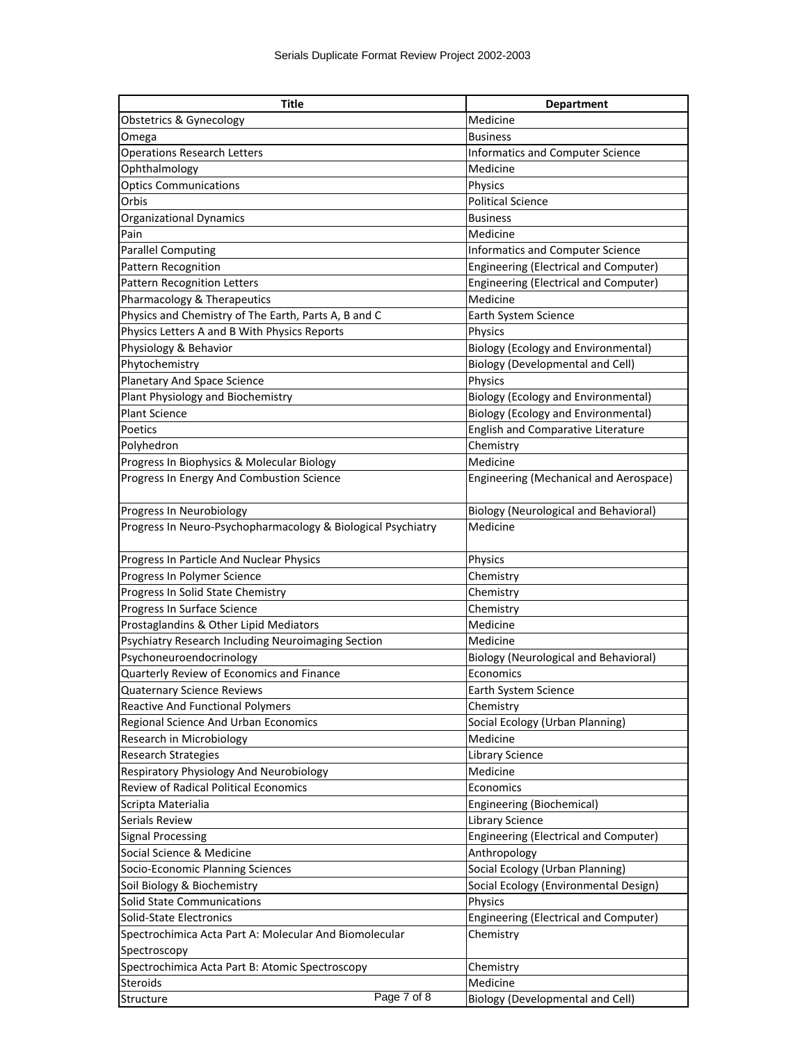| <b>Title</b>                                                 | <b>Department</b>                            |
|--------------------------------------------------------------|----------------------------------------------|
| Obstetrics & Gynecology                                      | Medicine                                     |
| Omega                                                        | <b>Business</b>                              |
| <b>Operations Research Letters</b>                           | <b>Informatics and Computer Science</b>      |
| Ophthalmology                                                | Medicine                                     |
| <b>Optics Communications</b>                                 | Physics                                      |
| Orbis                                                        | <b>Political Science</b>                     |
| <b>Organizational Dynamics</b>                               | <b>Business</b>                              |
| Pain                                                         | Medicine                                     |
| <b>Parallel Computing</b>                                    | Informatics and Computer Science             |
| Pattern Recognition                                          | Engineering (Electrical and Computer)        |
| <b>Pattern Recognition Letters</b>                           | Engineering (Electrical and Computer)        |
| Pharmacology & Therapeutics                                  | Medicine                                     |
| Physics and Chemistry of The Earth, Parts A, B and C         | Earth System Science                         |
| Physics Letters A and B With Physics Reports                 | Physics                                      |
| Physiology & Behavior                                        | <b>Biology (Ecology and Environmental)</b>   |
| Phytochemistry                                               | <b>Biology (Developmental and Cell)</b>      |
| Planetary And Space Science                                  | Physics                                      |
| Plant Physiology and Biochemistry                            | <b>Biology (Ecology and Environmental)</b>   |
| <b>Plant Science</b>                                         | <b>Biology (Ecology and Environmental)</b>   |
| Poetics                                                      | English and Comparative Literature           |
| Polyhedron                                                   | Chemistry                                    |
| Progress In Biophysics & Molecular Biology                   | Medicine                                     |
| Progress In Energy And Combustion Science                    | Engineering (Mechanical and Aerospace)       |
|                                                              |                                              |
| Progress In Neurobiology                                     | <b>Biology (Neurological and Behavioral)</b> |
| Progress In Neuro-Psychopharmacology & Biological Psychiatry | Medicine                                     |
|                                                              |                                              |
| Progress In Particle And Nuclear Physics                     | Physics                                      |
| Progress In Polymer Science                                  | Chemistry                                    |
| Progress In Solid State Chemistry                            | Chemistry                                    |
| Progress In Surface Science                                  | Chemistry                                    |
| Prostaglandins & Other Lipid Mediators                       | Medicine                                     |
| Psychiatry Research Including Neuroimaging Section           | Medicine                                     |
| Psychoneuroendocrinology                                     | <b>Biology (Neurological and Behavioral)</b> |
| Quarterly Review of Economics and Finance                    | Economics                                    |
| Quaternary Science Reviews                                   | Earth System Science                         |
| <b>Reactive And Functional Polymers</b>                      | Chemistry                                    |
| Regional Science And Urban Economics                         | Social Ecology (Urban Planning)              |
| Research in Microbiology                                     | Medicine                                     |
| <b>Research Strategies</b>                                   | Library Science                              |
| Respiratory Physiology And Neurobiology                      | Medicine                                     |
| <b>Review of Radical Political Economics</b>                 | Economics                                    |
| Scripta Materialia                                           | Engineering (Biochemical)                    |
| Serials Review                                               | <b>Library Science</b>                       |
| <b>Signal Processing</b>                                     | Engineering (Electrical and Computer)        |
| Social Science & Medicine                                    | Anthropology                                 |
| Socio-Economic Planning Sciences                             | Social Ecology (Urban Planning)              |
| Soil Biology & Biochemistry                                  | Social Ecology (Environmental Design)        |
| Solid State Communications                                   | Physics                                      |
| Solid-State Electronics                                      | Engineering (Electrical and Computer)        |
| Spectrochimica Acta Part A: Molecular And Biomolecular       | Chemistry                                    |
| Spectroscopy                                                 |                                              |
| Spectrochimica Acta Part B: Atomic Spectroscopy              | Chemistry                                    |
| <b>Steroids</b>                                              | Medicine                                     |
| Page 7 of 8<br>Structure                                     | <b>Biology (Developmental and Cell)</b>      |